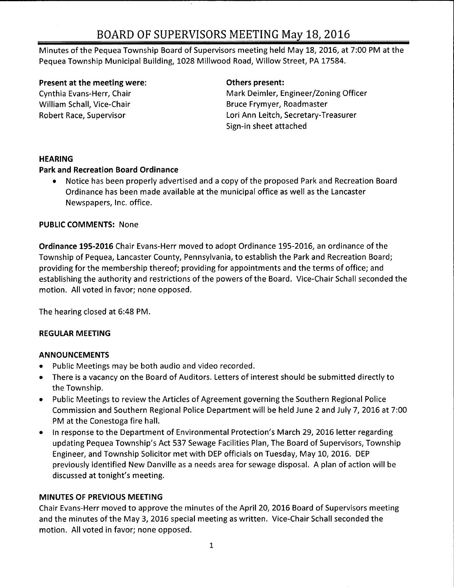Minutes of the Pequea Township Board of Supervisors meeting held May 18, 2016, at 7: 00 PM at the Pequea Township Municipal Building, 1028 Millwood Road, Willow Street, PA 17584.

### Present at the meeting were: The method of Definition of Definition of Present:

Cynthia Evans-Herr, Chair **Mark Deimler, Engineer/ Zoning Officer** Mark Deimler, Engineer/ Zoning Officer William Schall, Vice-Chair **Bruce Frymyer, Roadmaster** Bruce Frymyer, Roadmaster Robert Race, Supervisor **Lori Ann Leitch, Secretary-Treasurer** Sign-in sheet attached

# **HEARING**

# Park and Recreation Board Ordinance

Notice has been properly advertised and <sup>a</sup> copy of the proposed Park and Recreation Board Ordinance has been made available at the municipal office as well as the Lancaster Newspapers, Inc. office.

# PUBLIC COMMENTS: None

Ordinance 195-2016 Chair Evans-Herr moved to adopt Ordinance 195-2016, an ordinance of the Township of Pequea, Lancaster County, Pennsylvania, to establish the Park and Recreation Board; providing for the membership thereof; providing for appointments and the terms of office; and establishing the authority and restrictions of the powers of the Board. Vice-Chair Schall seconded the motion. All voted in favor; none opposed.

The hearing closed at 6:48 PM.

# REGULAR MEETING

# ANNOUNCEMENTS

- Public Meetings may be both audio and video recorded.
- There is <sup>a</sup> vacancy on the Board of Auditors. Letters of interest should be submitted directly to  $\bullet$ the Township.
- Public Meetings to review the Articles of Agreement governing the Southern Regional Police  $\bullet$ Commission and Southern Regional Police Department will be held June 2 and July 7, 2016 at 7: 00 PM at the Conestoga fire hall.
- In response to the Department of Environmental Protection's March 29, 2016 letter regarding  $\bullet$ updating Pequea Township's Act 537 Sewage Facilities Plan, The Board of Supervisors, Township Engineer, and Township Solicitor met with DEP officials on Tuesday, May 10, 2016. DEP previously identified New Danville as <sup>a</sup> needs area for sewage disposal. A plan of action will be discussed at tonight's meeting.

# MINUTES OF PREVIOUS MEETING

Chair Evans- Herr moved to approve the minutes of the April 20, 2016 Board of Supervisors meeting and the minutes of the May 3, 2016 special meeting as written. Vice-Chair Schall seconded the motion. All voted in favor; none opposed.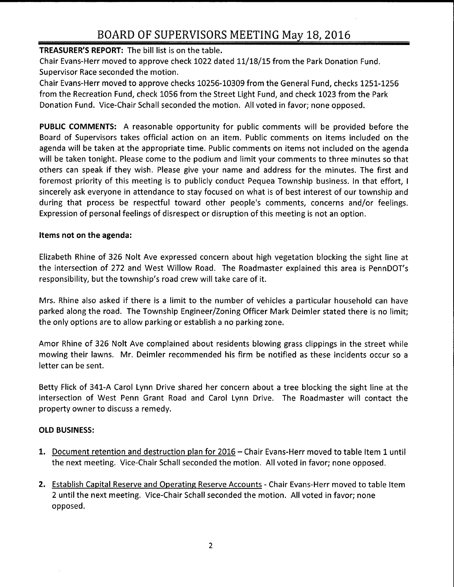### TREASURER'S REPORT: The bill list is on the table.

Chair Evans-Herr moved to approve check 1022 dated 11/18/15 from the Park Donation Fund. Supervisor Race seconded the motion.

Chair Evans- Herr moved to approve checks 10256- 10309 from the General Fund, checks 1251- 1256 from the Recreation Fund, check 1056 from the Street Light Fund, and check 1023 from the Park Donation Fund. Vice-Chair Schall seconded the motion. All voted in favor; none opposed.

PUBLIC COMMENTS: A reasonable opportunity for public comments will be provided before the Board of Supervisors takes official action on an item. Public comments on items included on the agenda will be taken at the appropriate time. Public comments on items not included on the agenda will be taken tonight. Please come to the podium and limit your comments to three minutes so that others can speak if they wish. Please give your name and address for the minutes. The first and foremost priority of this meeting is to publicly conduct Pequea Township business. In that effort, I sincerely ask everyone in attendance to stay focused on what is of best interest of our township and during that process be respectful toward other people's comments, concerns and/or feelings. Expression of personal feelings of disrespect or disruption of this meeting is not an option.

#### Items not on the agenda:

Elizabeth Rhine of 326 Nolt Ave expressed concern about high vegetation blocking the sight line at the intersection of 272 and West Willow Road. The Roadmaster explained this area is PennDOT's responsibility, but the township's road crew will take care of it.

Mrs. Rhine also asked if there is <sup>a</sup> limit to the number of vehicles <sup>a</sup> particular household can have parked along the road. The Township Engineer/Zoning Officer Mark Deimler stated there is no limit; the only options are to allow parking or establish <sup>a</sup> no parking zone.

Amor Rhine of 326 Nolt Ave complained about residents blowing grass clippings in the street while mowing their lawns. Mr. Deimler recommended his firm be notified as these incidents occur so <sup>a</sup> letter can be sent.

Betty Flick of 341-A Carol Lynn Drive shared her concern about <sup>a</sup> tree blocking the sight line at the intersection of West Penn Grant Road and Carol Lynn Drive. The Roadmaster will contact the property owner to discuss <sup>a</sup> remedy.

#### OLD BUSINESS:

- 1. Document retention and destruction plan for 2016— Chair Evans- Herr moved to table Item <sup>1</sup> until the next meeting. Vice- Chair Schall seconded the motion. All voted in favor; none opposed.
- 2. Establish Capital Reserve and Operating Reserve Accounts Chair Evans-Herr moved to table Item 2 until the next meeting. Vice- Chair Schall seconded the motion. All voted in favor; none opposed.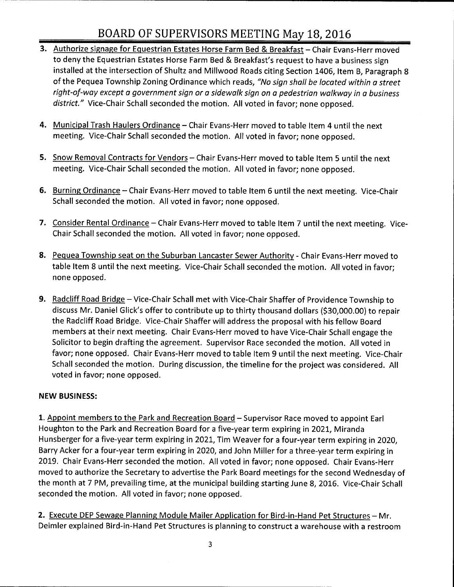- 3. Authorize signage for Equestrian Estates Horse Farm Bed & Breakfast Chair Evans-Herr moved to deny the Equestrian Estates Horse Farm Bed & Breakfast's request to have a business sign installed at the intersection of Shultz and Millwood Roads citing Section 1406, Item B, Paragraph 8 of the Pequea Township Zoning Ordinance which reads, "No sign shall be located within a street right-of-way except a government sign or a sidewalk sign on a pedestrian walkway in a business district." Vice-Chair Schall seconded the motion. All voted in favor; none opposed.
- 4. Municipal Trash Haulers Ordinance Chair Evans-Herr moved to table Item 4 until the next meeting. Vice-Chair Schall seconded the motion. All voted in favor; none opposed.
- 5. Snow Removal Contracts for Vendors Chair Evans-Herr moved to table Item 5 until the next meeting. Vice-Chair Schall seconded the motion. All voted in favor; none opposed.
- 6. Burning Ordinance Chair Evans-Herr moved to table Item 6 until the next meeting. Vice-Chair Schall seconded the motion. All voted in favor; none opposed.
- 7. Consider Rental Ordinance Chair Evans-Herr moved to table Item 7 until the next meeting. Vice-Chair Schall seconded the motion. All voted in favor; none opposed.
- 8. Pequea Township seat on the Suburban Lancaster Sewer Authority Chair Evans-Herr moved to table Item 8 until the next meeting. Vice-Chair Schall seconded the motion. All voted in favor; none opposed.
- 9. Radcliff Road Bridge Vice-Chair Schall met with Vice-Chair Shaffer of Providence Township to discuss Mr. Daniel Glick's offer to contribute up to thirty thousand dollars (\$30,000.00) to repair the Radcliff Road Bridge. Vice-Chair Shaffer will address the proposal with his fellow Board members at their next meeting. Chair Evans- Herr moved to have Vice- Chair Schall engage the Solicitor to begin drafting the agreement. Supervisor Race seconded the motion. All voted in favor; none opposed. Chair Evans-Herr moved to table Item 9 until the next meeting. Vice-Chair Schall seconded the motion. During discussion, the timeline for the project was considered. All voted in favor; none opposed.

# NEW BUSINESS:

1. Appoint members to the Park and Recreation Board – Supervisor Race moved to appoint Earl Houghton to the Park and Recreation Board for <sup>a</sup> five-year term expiring in 2021, Miranda Hunsberger for <sup>a</sup> five-year term expiring in 2021, Tim Weaver for <sup>a</sup> four-year term expiring in 2020, Barry Acker for <sup>a</sup> four-year term expiring in 2020, and John Miller for <sup>a</sup> three- year term expiring in 2019. Chair Evans-Herr seconded the motion. All voted in favor; none opposed. Chair Evans-Herr moved to authorize the Secretary to advertise the Park Board meetings for the second Wednesday of the month at 7 PM, prevailing time, at the municipal building starting June 8, 2016. Vice-Chair Schall seconded the motion. All voted in favor; none opposed.

2. Execute DEP Sewage Planning Module Mailer Application for Bird-in-Hand Pet Structures - Mr. Deimler explained Bird-in-Hand Pet Structures is planning to construct a warehouse with a restroom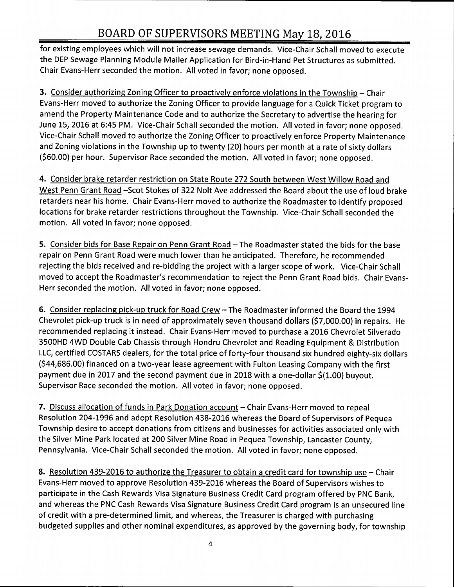for existing employees which will not increase sewage demands. Vice- Chair Schall moved to execute the DEP Sewage Planning Module Mailer Application for Bird- in- Hand Pet Structures as submitted. Chair Evans- Herr seconded the motion. All voted in favor; none opposed.

3. Consider authorizing Zoning Officer to proactively enforce violations in the Township - Chair Evans- Herr moved to authorize the Zoning Officer to provide language for <sup>a</sup> Quick Ticket program to amend the Property Maintenance Code and to authorize the Secretary to advertise the hearing for June 15, 2016 at 6:45 PM. Vice-Chair Schall seconded the motion. All voted in favor; none opposed. Vice- Chair Schall moved to authorize the Zoning Officer to proactively enforce Property Maintenance and Zoning violations in the Township up to twenty (20) hours per month at <sup>a</sup> rate of sixty dollars (\$60.00) per hour. Supervisor Race seconded the motion. All voted in favor; none opposed.

4. Consider brake retarder restriction on State Route 272 South between West Willow Road and West Penn Grant Road -Scot Stokes of 322 Nolt Ave addressed the Board about the use of loud brake retarders near his home. Chair Evans-Herr moved to authorize the Roadmaster to identify proposed locations for brake retarder restrictions throughout the Township. Vice-Chair Schall seconded the motion. All voted in favor; none opposed.

5. Consider bids for Base Repair on Penn Grant Road - The Roadmaster stated the bids for the base repair on Penn Grant Road were much lower than he anticipated. Therefore, he recommended rejecting the bids received and re-bidding the project with <sup>a</sup> larger scope of work. Vice- Chair Schall moved to accept the Roadmaster's recommendation to reject the Penn Grant Road bids. Chair Evans-Herr seconded the motion. All voted in favor; none opposed.

6. Consider replacing pick-up truck for Road Crew - The Roadmaster informed the Board the 1994 Chevrolet pick-up truck is in need of approximately seven thousand dollars (\$7, 000.00) in repairs. He recommended replacing it instead. Chair Evans- Herr moved to purchase <sup>a</sup> 2016 Chevrolet Silverado 3500HD 4WD Double Cab Chassis through Hondru Chevrolet and Reading Equipment & Distribution LLC, certified COSTARS dealers, for the total price of forty-four thousand six hundred eighty-six dollars 44,686.00) financed on <sup>a</sup> two-year lease agreement with Fulton Leasing Company with the first payment due in 2017 and the second payment due in 2018 with a one-dollar \$(1.00) buyout. Supervisor Race seconded the motion. All voted in favor; none opposed.

7. Discuss allocation of funds in Park Donation account – Chair Evans-Herr moved to repeal Resolution 204-1996 and adopt Resolution 438-2016 whereas the Board of Supervisors of Pequea Township desire to accept donations from citizens and businesses for activities associated only with the Silver Mine Park located at 200 Silver Mine Road in Pequea Township, Lancaster County, Pennsylvania. Vice-Chair Schall seconded the motion. All voted in favor; none opposed.

8. Resolution 439-2016 to authorize the Treasurer to obtain a credit card for township use – Chair Evans- Herr moved to approve Resolution 439- 2016 whereas the Board of Supervisors wishes to participate in the Cash Rewards Visa Signature Business Credit Card program offered by PNC Bank, and whereas the PNC Cash Rewards Visa Signature Business Credit Card program is an unsecured line of credit with <sup>a</sup> pre- determined limit, and whereas, the Treasurer is charged with purchasing budgeted supplies and other nominal expenditures, as approved by the governing body, for township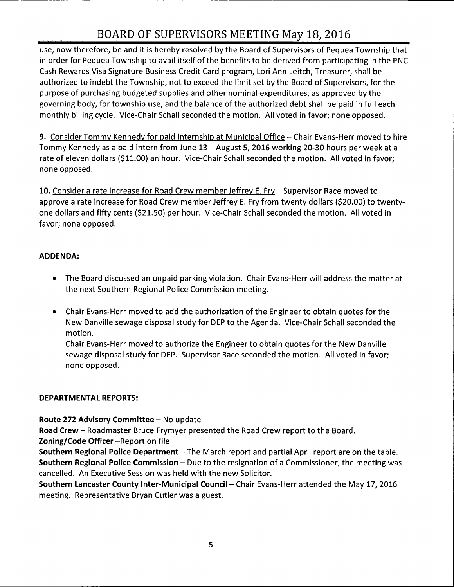use, now therefore, be and it is hereby resolved by the Board of Supervisors of Pequea Township that in order for Pequea Township to avail itself of the benefits to be derived from participating in the PNC Cash Rewards Visa Signature Business Credit Card program, Lori Ann Leitch, Treasurer, shall be authorized to indebt the Township, not to exceed the limit set by the Board of Supervisors, for the purpose of purchasing budgeted supplies and other nominal expenditures, as approved by the governing body, for township use, and the balance of the authorized debt shall be paid in full each monthly billing cycle. Vice-Chair Schall seconded the motion. All voted in favor; none opposed.

9. Consider Tommy Kennedy for paid internship at Municipal Office— Chair Evans- Herr moved to hire Tommy Kennedy as a paid intern from June 13 - August 5, 2016 working 20-30 hours per week at a rate of eleven dollars (\$11.00) an hour. Vice-Chair Schall seconded the motion. All voted in favor; none opposed.

10. Consider a rate increase for Road Crew member Jeffrey E. Fry – Supervisor Race moved to approve <sup>a</sup> rate increase for Road Crew member Jeffrey E. Fry from twenty dollars (\$20.00) to twentyone dollars and fifty cents (\$21.50) per hour. Vice-Chair Schall seconded the motion. All voted in favor; none opposed.

# ADDENDA:

- The Board discussed an unpaid parking violation. Chair Evans- Herr will address the matter at the next Southern Regional Police Commission meeting.
- Chair Evans-Herr moved to add the authorization of the Engineer to obtain quotes for the New Danville sewage disposal study for DEP to the Agenda. Vice- Chair Schall seconded the motion.

Chair Evans- Herr moved to authorize the Engineer to obtain quotes for the New Danville sewage disposal study for DEP. Supervisor Race seconded the motion. All voted in favor; none opposed.

#### DEPARTMENTAL REPORTS:

Route 272 Advisory Committee—No update

Road Crew— Roadmaster Bruce Frymyer presented the Road Crew report to the Board. Zoning/ Code Officer - Report on file

Southern Regional Police Department—The March report and partial April report are on the table. Southern Regional Police Commission— Due to the resignation of <sup>a</sup> Commissioner, the meeting was cancelled. An Executive Session was held with the new Solicitor.

Southern Lancaster County Inter-Municipal Council— Chair Evans- Herr attended the May 17, 2016 meeting. Representative Bryan Cutler was a guest.